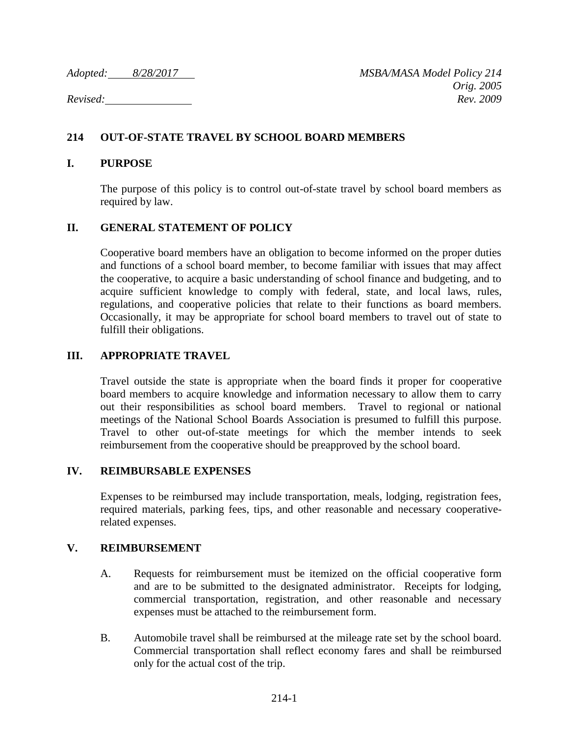# **214 OUT-OF-STATE TRAVEL BY SCHOOL BOARD MEMBERS**

### **I. PURPOSE**

The purpose of this policy is to control out-of-state travel by school board members as required by law.

### **II. GENERAL STATEMENT OF POLICY**

Cooperative board members have an obligation to become informed on the proper duties and functions of a school board member, to become familiar with issues that may affect the cooperative, to acquire a basic understanding of school finance and budgeting, and to acquire sufficient knowledge to comply with federal, state, and local laws, rules, regulations, and cooperative policies that relate to their functions as board members. Occasionally, it may be appropriate for school board members to travel out of state to fulfill their obligations.

### **III. APPROPRIATE TRAVEL**

Travel outside the state is appropriate when the board finds it proper for cooperative board members to acquire knowledge and information necessary to allow them to carry out their responsibilities as school board members. Travel to regional or national meetings of the National School Boards Association is presumed to fulfill this purpose. Travel to other out-of-state meetings for which the member intends to seek reimbursement from the cooperative should be preapproved by the school board.

### **IV. REIMBURSABLE EXPENSES**

Expenses to be reimbursed may include transportation, meals, lodging, registration fees, required materials, parking fees, tips, and other reasonable and necessary cooperativerelated expenses.

### **V. REIMBURSEMENT**

- A. Requests for reimbursement must be itemized on the official cooperative form and are to be submitted to the designated administrator. Receipts for lodging, commercial transportation, registration, and other reasonable and necessary expenses must be attached to the reimbursement form.
- B. Automobile travel shall be reimbursed at the mileage rate set by the school board. Commercial transportation shall reflect economy fares and shall be reimbursed only for the actual cost of the trip.